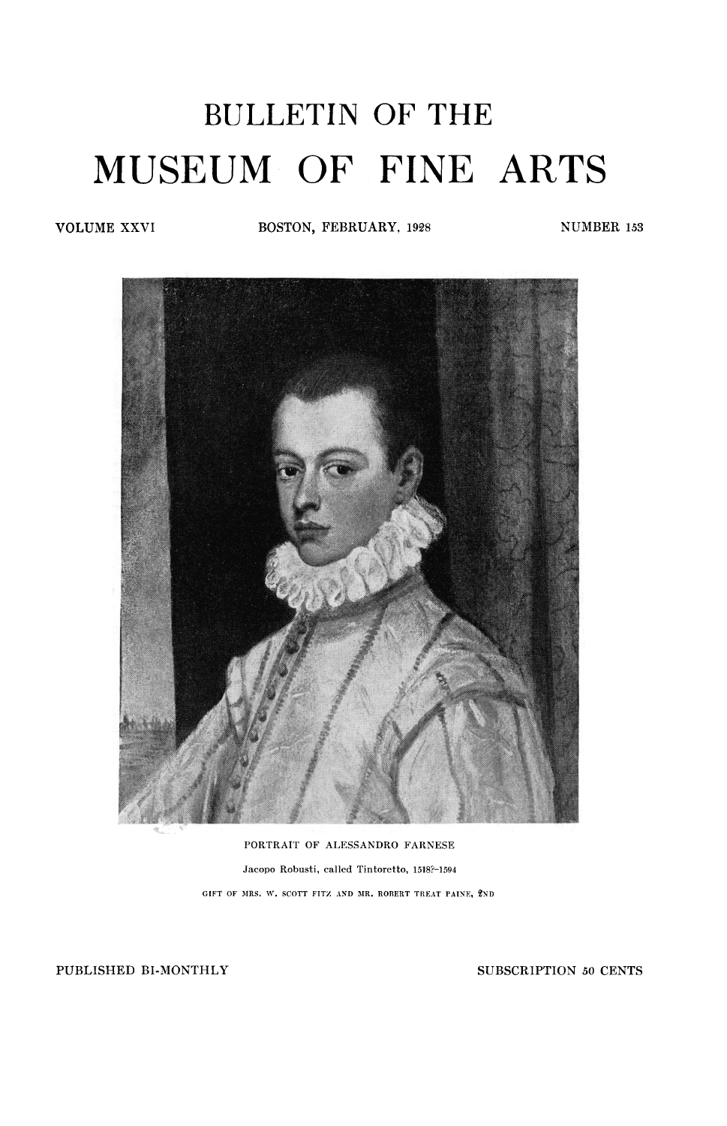## <span id="page-0-0"></span>BULLETIN OF THE MUSEUM OF FINE ARTS

**VOLUME XXVI BOSTON, FEBRUARY**, 1928 **NUMBER** 153



**PORTRAIT OF ALESSANDRO FARNESE Jacopo Robusti, called Tintoretto, 1518?-1594 GIFT OF MRS. W. SCOTT FITZ AND MR. ROBERT TREAT PAINE, 2ND** 

**PUBLISHED BI-MONTHLY SUBSCRIPTION** *50* **CENTS**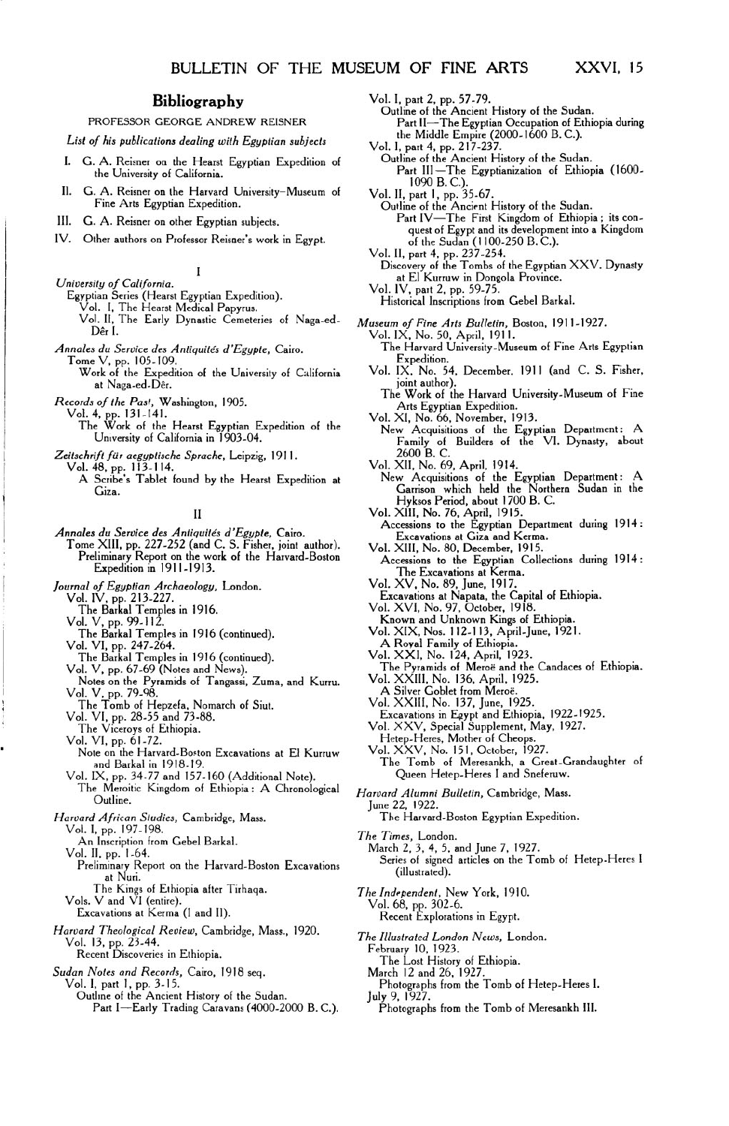## **Bibliography**

## PROFESSOR GEORGE ANDREW REISNER

*List of his publications dealing with Egyptian subjects* 

- **I.**  G. A. Reisner on the Hearst Egyptian Expedition of the University of California.
- G. A. Reisner on the Harvard University-Museum of Fine Arts Egyptian Expedition. **II.**
- G. A. Reisner on other Egyptian subjects. **III.**
- Other authors on Professor Reisner's work in Egypt. IV.

I

- Vol. IV, part 2, pp. 59-75. *University of California.* 
	- Egyptian Series (Hearst Egyptian Expedition). Vol. I, The Hearst Medical Papyrus.
- - Vol. *II,* The Early Dynastic Cemeteries of Naga-ed- *Museum of Fine Arts Bulletin,* Boston, 1911-1927. Der I. [Vol. IX, No. 50,](#page-0-0) April, 1911.
- - Tome V, pp. 105-109. Expedition. Work of the Expedition of the University of California Vol. IX, No. 24,<br>at Naga-ed-Dêr. joint author).

- *Records of the Past, Washington, 1905.*<br>
Vol. 4, pp. 131-141.<br>
The Work of the Hearst Egyptian Expedition of the The Work of the Hearst Egyptian Expedition of the New Acquisitions of the Egyptian Department: A University of California in 1903-04.<br>Family of Builders of the VI. Dynasty, about University of California in 1903-04.
- *Zeitschrift fur aegyptische Sprache,* Leipzig, 1911. Vol. 48, pp. **113-114.** Vol. XII, No. 69, April, 1914.

Annales du Service des Antiquités d'Egypte, Cairo.<br>Tome XIII, pp. 227-252 (and C. S. Fisher, joint author). Preliminary Report on the work of the Harvard-Boston Accessions to the Egyptian Collections during 1914 :<br>
Expedition in 1911-1913.<br>
The Excessions at Kerma.

*Journal of Egyptian Archaeology,* London. Vol. IV, pp. 213-227. The Barkal Temples in 1916.

- 
- 
- VOl. v, pp. 99-112.
- The Barkal Temples in 1916 (continued).
- Vol. VI, pp. 247-264.

The Barkal Temples in 1916 (continued). Vol. V, pp. 67-69 (Notes and News).

- 
- Notes on the Pyramids of Tangassi, Zuma, and Kurru. Vol. V, pp. 79-98. The Tomb of Hepzefa, Nomarch of Siut. Vol. VI, pp. 28-55 and 73-88. The Viceroys of Ethiopia.
- 
- 
- 
- Vol. VI, pp. 61-72.
- Note on the Harvard-Boston Excavations at El Kurruw and Barkal in 1918-19.
- Vol. IX, pp. 34-77 and 157-160 (Additional Note). The Meroitic Kingdom of Ethiopia: A Chronological *Harvard Alumni Bulletin*, Cambridge, Mass.<br>Outline.
- *Harvard African Studies,* Cambridge, Mass.

Vol. I, pp. 197-198.

- An Inscription from Gebel Barkal.
- Vol. II, pp. 1-64.
- Preliminary Report on the Harvard-Boston Excavations of signed at Nuri.<br>
at Nuri. (illustrated).
- The Kings of Ethiopia after Tirhaqa. *The Independent*, New York, 1910.<br>Vol. 68. pp. 302-6. *Vol. 1910.*
- 
- *Harvard Theological Review,* Cambridge, Mass., 1920. Vol. 13, pp. 23-44. Recent Discoveries in Ethiopia.
	-

*Sudan Notes and Records,* Cairo, 1918 seq.

Vol. I, part 1, pp. 3-15. Outline of the Ancient History of the Sudan. Part I-Early Trading Caravans (4000-2000 B.C.).

- Vol. I, part 2, pp. 57-79.<br>
Outline of the Ancient History of the Sudan.<br>
Part II—The Egyptian Occupation of Ethiopia during the Middle Empire (2000-1600 B.C.).
- Vol. **I.** part 4, pp. 217-237.

Outline of the Ancient History **of** the Sudan. Part III-The Egyptianization of Ethiopia (1600 1090 B.C.).

- Vol. **II,** part **1,** pp. 35-67.
- Outline of the Ancient History of the Sudan.<br>Part IV—The First Kingdom of Ethiopia ; its con-<br>quest of Egypt and its development into a Kingdom of the Sudan **(1100-250 B.C.).**  Vol. **II,** part 4, pp. 237-254.
- 
- Discovery of the Tombs of the Egyptian XXV. Dynasty at El Kurruw in Dongola Province.<br>Vol. IV, part 2, pp. 59-75.
- 
- Historical Inscriptions from Gebel Barkal.
- 
- 
- *Annales du Service des Antiquites d'Egypte,* Cairo. The Harvard University-Museum of Fine Arts Egyptian
	- Vol. IX. **No.** 54, December, 1911 (and C. S. Fisher,
	- The Work of the Harvard University-Museum of Fine<br>Arts Egyptian Expedition.<br>Vol. XI, No. 66, November, 1913.
		-
		- 2600 B.C.
	-
	- A Scribe's Tablet found by the Hearst Expedition at New Acquisitions of the Egyptian Department: A Giza.<br>
	Garrison which held the Northern Sudan in the Hyksos Period, about 1700 B. C.
		-
- II <sup>Vol. XIII, No. 76, April, 1915.<br>Annales du Service des Antiquités d'Egypte, Cairo. **Accessions to the Egyptian Department during 1914** :<br>Excavations at Giza and Kerma.</sup> Excavations at Giza and Kerma.<br>Vol. XIII, No. 80, December, 1915.<br>Accessions to the Egyptian Collections during 1914:
	-
	- The Excavations at Kerma. Vol. XV, No. 89, June, 1917.
	- Excavations at Napata, the Capital of Ethiopia. Vol. XVI, No. 97. October, 1918.
	- Known and Unknown Kings of Ethiopia.
	- Vol. XIX, **Nos. 112-113,** April- June, 1921.
	- A Royal Family of Ethiopia. Vol. XXI, No. 124, April, 1923.
	-
	- The Pyramids of Meroe and the Candaces of Ethiopia. Vol. XXIII, No. 136, April, 1925.
	- **A** Silver Goblet from Meroe.
	- Vol. XXIII, No. 137, June, 1925.
	- Excavations in Egypt and Ethiopia, 1922-1925.
	- Vol. XXV, Special Supplement, May, 1927.
	- Hetep-Heres, Mother of Cheops. Vol. XXV, No. **151,** October, 1927.
	- The Tomb of Meresankh, a Great-Grandaughter of
	-

June 22, 1922.

The Harvard-Boston Egyptian Expedition.

- *The Times,* London.
	- March 2, 3, **4,** 5. and June 7, 1927. Series of signed articles on the Tomb of Hetep-Heres I
	-
- 
- Vol. 68, pp. 302-6. Excavations at Kerma (I and II). Recent Explorations in Egypt.
	- *The Illustrated London News,* London.
		- February 10, 1923.
		- The Lost History of Ethiopia.
		- March 12 and 26. 1927.
		- Photographs from the Tomb of Hetep-Heres I. July 9, 1927.
			- Photographs from the Tomb of Meresankh **Ill.**